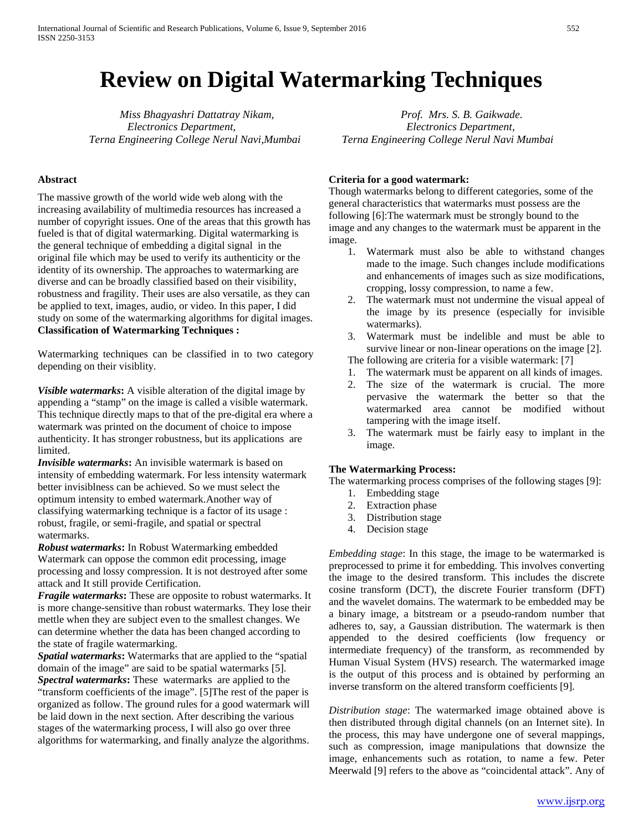# **Review on Digital Watermarking Techniques**

#### **Abstract**

The massive growth of the world wide web along with the increasing availability of multimedia resources has increased a number of copyright issues. One of the areas that this growth has fueled is that of digital watermarking. Digital watermarking is the general technique of embedding a digital signal in the original file which may be used to verify its authenticity or the identity of its ownership. The approaches to watermarking are diverse and can be broadly classified based on their visibility, robustness and fragility. Their uses are also versatile, as they can be applied to text, images, audio, or video. In this paper, I did study on some of the watermarking algorithms for digital images. **Classification of Watermarking Techniques :**

Watermarking techniques can be classified in to two category depending on their visiblity.

*Visible watermarks***:** A visible alteration of the digital image by appending a "stamp" on the image is called a visible watermark. This technique directly maps to that of the pre-digital era where a watermark was printed on the document of choice to impose authenticity. It has stronger robustness, but its applications are limited.

*Invisible watermarks***:** An invisible watermark is based on intensity of embedding watermark. For less intensity watermark better invisiblness can be achieved. So we must select the optimum intensity to embed watermark.Another way of classifying watermarking technique is a factor of its usage : robust, fragile, or semi-fragile, and spatial or spectral watermarks.

*Robust watermarks***:** In Robust Watermarking embedded Watermark can oppose the common edit processing, image processing and lossy compression. It is not destroyed after some attack and It still provide Certification.

*Fragile watermarks***:** These are opposite to robust watermarks. It is more change-sensitive than robust watermarks. They lose their mettle when they are subject even to the smallest changes. We can determine whether the data has been changed according to the state of fragile watermarking.

*Spatial watermarks***:** Watermarks that are applied to the "spatial domain of the image" are said to be spatial watermarks [5]. *Spectral watermarks***:** These watermarks are applied to the "transform coefficients of the image". [5]The rest of the paper is organized as follow. The ground rules for a good watermark will be laid down in the next section. After describing the various stages of the watermarking process, I will also go over three algorithms for watermarking, and finally analyze the algorithms.

*Miss Bhagyashri Dattatray Nikam, Prof. Mrs. S. B. Gaikwade. Electronics Department, Electronics Department, Terna Engineering College Nerul Navi,Mumbai Terna Engineering College Nerul Navi Mumbai*

#### **Criteria for a good watermark:**

Though watermarks belong to different categories, some of the general characteristics that watermarks must possess are the following [6]:The watermark must be strongly bound to the image and any changes to the watermark must be apparent in the image.

- 1. Watermark must also be able to withstand changes made to the image. Such changes include modifications and enhancements of images such as size modifications, cropping, lossy compression, to name a few.
- 2. The watermark must not undermine the visual appeal of the image by its presence (especially for invisible watermarks).
- 3. Watermark must be indelible and must be able to survive linear or non-linear operations on the image [2].

The following are criteria for a visible watermark: [7]

- 1. The watermark must be apparent on all kinds of images.
- 2. The size of the watermark is crucial. The more pervasive the watermark the better so that the watermarked area cannot be modified without tampering with the image itself.
- 3. The watermark must be fairly easy to implant in the image.

#### **The Watermarking Process:**

The watermarking process comprises of the following stages [9]:

- 1. Embedding stage
- 2. Extraction phase
- 3. Distribution stage
- 4. Decision stage

*Embedding stage*: In this stage, the image to be watermarked is preprocessed to prime it for embedding. This involves converting the image to the desired transform. This includes the discrete cosine transform (DCT), the discrete Fourier transform (DFT) and the wavelet domains. The watermark to be embedded may be a binary image, a bitstream or a pseudo-random number that adheres to, say, a Gaussian distribution. The watermark is then appended to the desired coefficients (low frequency or intermediate frequency) of the transform, as recommended by Human Visual System (HVS) research. The watermarked image is the output of this process and is obtained by performing an inverse transform on the altered transform coefficients [9].

*Distribution stage*: The watermarked image obtained above is then distributed through digital channels (on an Internet site). In the process, this may have undergone one of several mappings, such as compression, image manipulations that downsize the image, enhancements such as rotation, to name a few. Peter Meerwald [9] refers to the above as "coincidental attack". Any of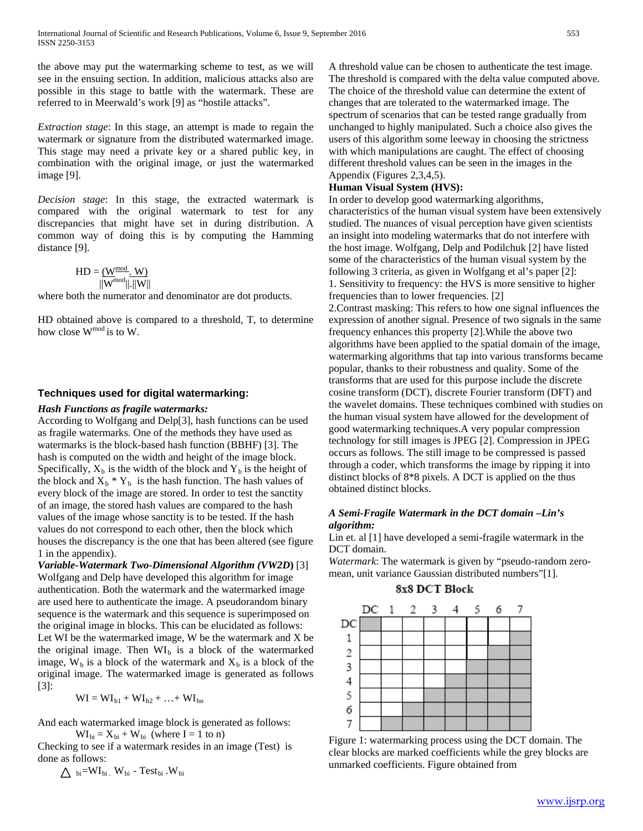the above may put the watermarking scheme to test, as we will see in the ensuing section. In addition, malicious attacks also are possible in this stage to battle with the watermark. These are referred to in Meerwald's work [9] as "hostile attacks".

*Extraction stage*: In this stage, an attempt is made to regain the watermark or signature from the distributed watermarked image. This stage may need a private key or a shared public key, in combination with the original image, or just the watermarked image [9].

*Decision stage*: In this stage, the extracted watermark is compared with the original watermark to test for any discrepancies that might have set in during distribution. A common way of doing this is by computing the Hamming distance [9].

$$
HD = \underbrace{(W^{mod} \cdot W)}_{||W^{mod}||.||W||}
$$

where both the numerator and denominator are dot products.

HD obtained above is compared to a threshold, T, to determine how close  $W^{\text{mod}}$  is to W.

## **Techniques used for digital watermarking:**

#### *Hash Functions as fragile watermarks:*

According to Wolfgang and Delp[3], hash functions can be used as fragile watermarks. One of the methods they have used as watermarks is the block-based hash function (BBHF) [3]. The hash is computed on the width and height of the image block. Specifically,  $X_b$  is the width of the block and  $Y_b$  is the height of the block and  $X_b * Y_b$  is the hash function. The hash values of every block of the image are stored. In order to test the sanctity of an image, the stored hash values are compared to the hash values of the image whose sanctity is to be tested. If the hash values do not correspond to each other, then the block which houses the discrepancy is the one that has been altered (see figure 1 in the appendix).

*Variable-Watermark Two-Dimensional Algorithm (VW2D***)** [3] Wolfgang and Delp have developed this algorithm for image authentication. Both the watermark and the watermarked image are used here to authenticate the image. A pseudorandom binary sequence is the watermark and this sequence is superimposed on the original image in blocks. This can be elucidated as follows: Let WI be the watermarked image, W be the watermark and X be the original image. Then  $WI<sub>b</sub>$  is a block of the watermarked image,  $W_b$  is a block of the watermark and  $X_b$  is a block of the original image. The watermarked image is generated as follows [3]:

 $WI = WI_{b1} + WI_{b2} + ... + WI_{bn}$ 

And each watermarked image block is generated as follows:

 $WI_{bi} = X_{bi} + W_{bi}$  (where I = 1 to n)

Checking to see if a watermark resides in an image (Test) is done as follows:

$$
\bigtriangleup_{bi} \textcolor{blue}{=} W I_{bi} \textcolor{red}{.}\ W_{bi} \textcolor{red}{\cdot} Test_{bi} \textcolor{red}{.} W_{bi}
$$

A threshold value can be chosen to authenticate the test image. The threshold is compared with the delta value computed above. The choice of the threshold value can determine the extent of changes that are tolerated to the watermarked image. The spectrum of scenarios that can be tested range gradually from unchanged to highly manipulated. Such a choice also gives the users of this algorithm some leeway in choosing the strictness with which manipulations are caught. The effect of choosing different threshold values can be seen in the images in the Appendix (Figures 2,3,4,5).

#### **Human Visual System (HVS):**

In order to develop good watermarking algorithms, characteristics of the human visual system have been extensively studied. The nuances of visual perception have given scientists an insight into modeling watermarks that do not interfere with the host image. Wolfgang, Delp and Podilchuk [2] have listed some of the characteristics of the human visual system by the following 3 criteria, as given in Wolfgang et al's paper [2]: 1. Sensitivity to frequency: the HVS is more sensitive to higher frequencies than to lower frequencies. [2]

2.Contrast masking: This refers to how one signal influences the expression of another signal. Presence of two signals in the same frequency enhances this property [2].While the above two algorithms have been applied to the spatial domain of the image, watermarking algorithms that tap into various transforms became popular, thanks to their robustness and quality. Some of the transforms that are used for this purpose include the discrete cosine transform (DCT), discrete Fourier transform (DFT) and the wavelet domains. These techniques combined with studies on the human visual system have allowed for the development of good watermarking techniques.A very popular compression technology for still images is JPEG [2]. Compression in JPEG occurs as follows. The still image to be compressed is passed through a coder, which transforms the image by ripping it into distinct blocks of 8\*8 pixels. A DCT is applied on the thus obtained distinct blocks.

#### *A Semi-Fragile Watermark in the DCT domain –Lin's algorithm:*

Lin et. al [1] have developed a semi-fragile watermark in the DCT domain.

*Watermark*: The watermark is given by "pseudo-random zeromean, unit variance Gaussian distributed numbers"[1].

## 8x8 DCT Block



Figure 1: watermarking process using the DCT domain. The clear blocks are marked coefficients while the grey blocks are unmarked coefficients. Figure obtained from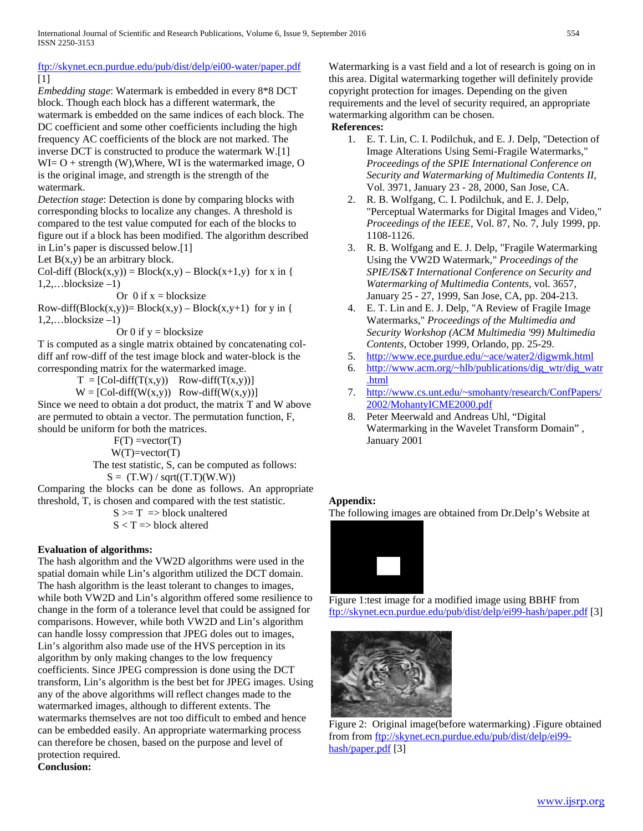<ftp://skynet.ecn.purdue.edu/pub/dist/delp/ei00-water/paper.pdf>  $[1]$ 

*Embedding stage*: Watermark is embedded in every 8\*8 DCT block. Though each block has a different watermark, the watermark is embedded on the same indices of each block. The DC coefficient and some other coefficients including the high frequency AC coefficients of the block are not marked. The inverse DCT is constructed to produce the watermark W.[1]  $WI= O + strength (W)$ , Where, WI is the watermarked image, O is the original image, and strength is the strength of the watermark.

*Detection stage*: Detection is done by comparing blocks with corresponding blocks to localize any changes. A threshold is compared to the test value computed for each of the blocks to figure out if a block has been modified. The algorithm described in Lin's paper is discussed below.[1]

Let  $B(x,y)$  be an arbitrary block.

Col-diff  $(Block(x,y)) = Block(x,y) - Block(x+1,y)$  for x in {  $1,2,...$ blocksize  $-1$ )

Or 0 if  $x =$  blocksize

Row-diff(Block(x,y))= Block(x,y) – Block(x,y+1) for y in {  $1,2,...$ blocksize  $-1)$ 

Or 0 if  $y =$ blocksize

T is computed as a single matrix obtained by concatenating coldiff anf row-diff of the test image block and water-block is the corresponding matrix for the watermarked image.

 $T = [Col-diff(T(x,y))$  Row-diff(T(x,y))]

 $W = [Col-diff(W(x,y))$  Row-diff(W(x,y))]

Since we need to obtain a dot product, the matrix T and W above are permuted to obtain a vector. The permutation function, F, should be uniform for both the matrices.

 $F(T) = vector(T)$ 

 $W(T)=vector(T)$ 

 The test statistic, S, can be computed as follows:  $S = (T.W) / sqrt((T.T)(W.W))$ 

Comparing the blocks can be done as follows. An appropriate threshold, T, is chosen and compared with the test statistic.

 $S \geq T \implies \text{block unaltered}$ 

$$
S < T \Rightarrow block \ altered
$$

## **Evaluation of algorithms:**

The hash algorithm and the VW2D algorithms were used in the spatial domain while Lin's algorithm utilized the DCT domain. The hash algorithm is the least tolerant to changes to images, while both VW2D and Lin's algorithm offered some resilience to change in the form of a tolerance level that could be assigned for comparisons. However, while both VW2D and Lin's algorithm can handle lossy compression that JPEG doles out to images, Lin's algorithm also made use of the HVS perception in its algorithm by only making changes to the low frequency coefficients. Since JPEG compression is done using the DCT transform, Lin's algorithm is the best bet for JPEG images. Using any of the above algorithms will reflect changes made to the watermarked images, although to different extents. The watermarks themselves are not too difficult to embed and hence can be embedded easily. An appropriate watermarking process can therefore be chosen, based on the purpose and level of protection required. **Conclusion:**

Watermarking is a vast field and a lot of research is going on in this area. Digital watermarking together will definitely provide copyright protection for images. Depending on the given requirements and the level of security required, an appropriate watermarking algorithm can be chosen.

#### **References:**

- 1. E. T. Lin, C. I. Podilchuk, and E. J. Delp, "Detection of Image Alterations Using Semi-Fragile Watermarks," *Proceedings of the SPIE International Conference on Security and Watermarking of Multimedia Contents II,* Vol. 3971, January 23 - 28, 2000, San Jose, CA.
- 2. R. B. Wolfgang, C. I. Podilchuk, and E. J. Delp, "Perceptual Watermarks for Digital Images and Video," *Proceedings of the IEEE,* Vol. 87, No. 7, July 1999, pp. 1108-1126.
- 3. R. B. Wolfgang and E. J. Delp, "Fragile Watermarking Using the VW2D Watermark," *Proceedings of the SPIE/IS&T International Conference on Security and Watermarking of Multimedia Contents,* vol. 3657, January 25 - 27, 1999, San Jose, CA, pp. 204-213.
- 4. E. T. Lin and E. J. Delp, "A Review of Fragile Image Watermarks," *Proceedings of the Multimedia and Security Workshop (ACM Multimedia '99) Multimedia Contents,* October 1999, Orlando, pp. 25-29.
- 5. <http://www.ece.purdue.edu/~ace/water2/digwmk.html>
- 6. [http://www.acm.org/~hlb/publications/dig\\_wtr/dig\\_watr](http://www.acm.org/~hlb/publications/dig_wtr/dig_watr.html) [.html](http://www.acm.org/~hlb/publications/dig_wtr/dig_watr.html)
- 7. [http://www.cs.unt.edu/~smohanty/research/ConfPapers/](http://www.cs.unt.edu/~smohanty/research/ConfPapers/2002/MohantyICME2000.pdf) [2002/MohantyICME2000.pdf](http://www.cs.unt.edu/~smohanty/research/ConfPapers/2002/MohantyICME2000.pdf)
- 8. Peter Meerwald and Andreas Uhl, "Digital Watermarking in the Wavelet Transform Domain" , January 2001

## **Appendix:**

The following images are obtained from Dr.Delp's Website at



Figure 1:test image for a modified image using BBHF from <ftp://skynet.ecn.purdue.edu/pub/dist/delp/ei99-hash/paper.pdf> [3]



Figure 2: Original image(before watermarking) .Figure obtained from from [ftp://skynet.ecn.purdue.edu/pub/dist/delp/ei99](ftp://skynet.ecn.purdue.edu/pub/dist/delp/ei99-hash/paper.pdf) [hash/paper.pdf](ftp://skynet.ecn.purdue.edu/pub/dist/delp/ei99-hash/paper.pdf) [3]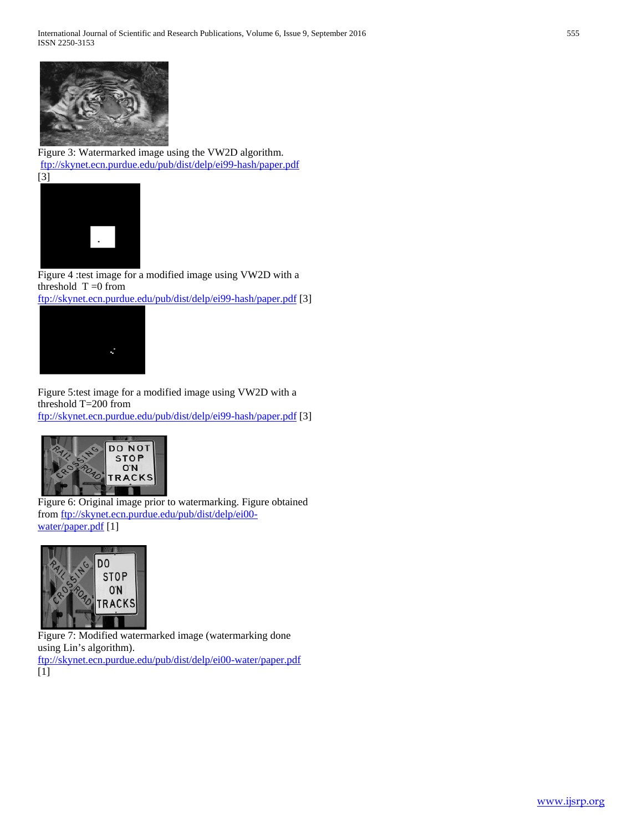

Figure 3: Watermarked image using the VW2D algorithm. <ftp://skynet.ecn.purdue.edu/pub/dist/delp/ei99-hash/paper.pdf>



Figure 4 :test image for a modified image using VW2D with a threshold  $T = 0$  from <ftp://skynet.ecn.purdue.edu/pub/dist/delp/ei99-hash/paper.pdf> [3]



Figure 5:test image for a modified image using VW2D with a threshold T=200 from <ftp://skynet.ecn.purdue.edu/pub/dist/delp/ei99-hash/paper.pdf> [3]



Figure 6: Original image prior to watermarking. Figure obtained from [ftp://skynet.ecn.purdue.edu/pub/dist/delp/ei00](ftp://skynet.ecn.purdue.edu/pub/dist/delp/ei00-water/paper.pdf) [water/paper.pdf](ftp://skynet.ecn.purdue.edu/pub/dist/delp/ei00-water/paper.pdf) [1]



Figure 7: Modified watermarked image (watermarking done using Lin's algorithm).

<ftp://skynet.ecn.purdue.edu/pub/dist/delp/ei00-water/paper.pdf> [1]